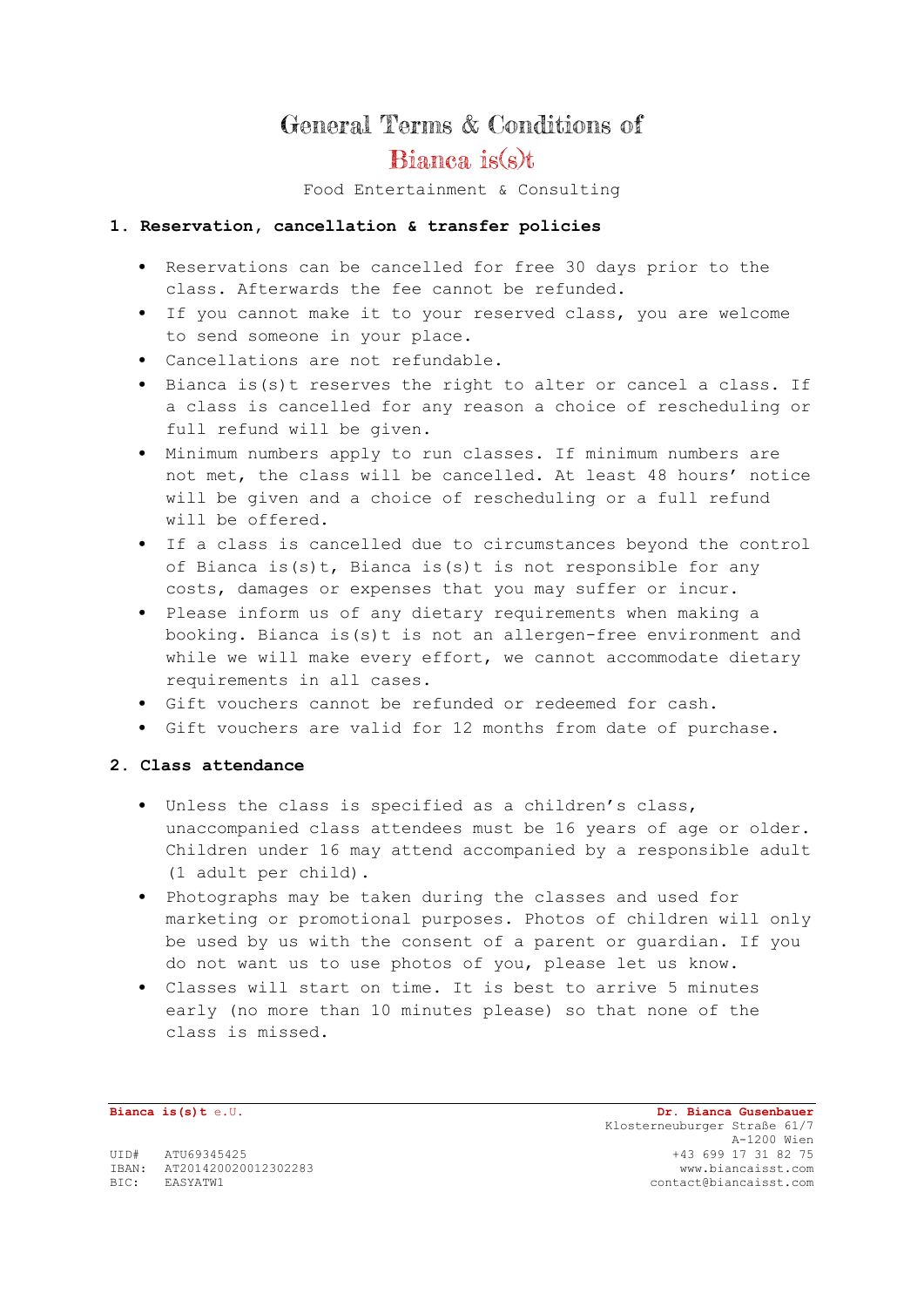# General Terms & Conditions of

## Bianca is(s)t

Food Entertainment & Consulting

#### **1. Reservation, cancellation & transfer policies**

- Reservations can be cancelled for free 30 days prior to the class. Afterwards the fee cannot be refunded.
- If you cannot make it to your reserved class, you are welcome to send someone in your place.
- Cancellations are not refundable.
- Bianca is(s)t reserves the right to alter or cancel a class. If a class is cancelled for any reason a choice of rescheduling or full refund will be given.
- Minimum numbers apply to run classes. If minimum numbers are not met, the class will be cancelled. At least 48 hours' notice will be given and a choice of rescheduling or a full refund will be offered.
- If a class is cancelled due to circumstances beyond the control of Bianca is(s)t, Bianca is(s)t is not responsible for any costs, damages or expenses that you may suffer or incur.
- Please inform us of any dietary requirements when making a booking. Bianca is(s)t is not an allergen-free environment and while we will make every effort, we cannot accommodate dietary requirements in all cases.
- Gift vouchers cannot be refunded or redeemed for cash.
- Gift vouchers are valid for 12 months from date of purchase.

#### **2. Class attendance**

- Unless the class is specified as a children's class, unaccompanied class attendees must be 16 years of age or older. Children under 16 may attend accompanied by a responsible adult (1 adult per child).
- Photographs may be taken during the classes and used for marketing or promotional purposes. Photos of children will only be used by us with the consent of a parent or guardian. If you do not want us to use photos of you, please let us know.
- Classes will start on time. It is best to arrive 5 minutes early (no more than 10 minutes please) so that none of the class is missed.

**Bianca is(s)t** e.U. **Dr. Bianca Gusenbauer** Klosterneuburger Straße 61/7 A-1200 Wien<br>43 699 17 31 82 75 UID# ATU69345425 +43 699 17 31 82 75 IBAN: AT201420020012302283 www.biancaisst.com

BIC: EASYATW1 contact@biancaisst.com